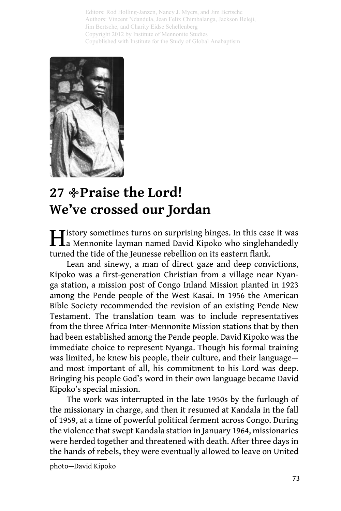Editors: Rod Holling-Janzen, Nancy J. Myers, and Jim Bertsche Authors: Vincent Ndandula, Jean Felix Chimbalanga, Jackson Beleji, Jim Bertsche, and Charity Eidse Schellenberg Copyright 2012 by Institute of Mennonite Studies Copublished with Institute for the Study of Global Anabaptism



## **Praise the Lord! 27**  We've crossed our Jordan

**Henry sometimes turns on surprising hinges. In this case it was**<br>La Mennonite layman named David Kipoko who singlehandedly turned the tide of the Jeunesse rebellion on its eastern flank.

Lean and sinewy, a man of direct gaze and deep convictions, Kipoko was a first-generation Christian from a village near Nyanga station, a mission post of Congo Inland Mission planted in 1923 among the Pende people of the West Kasai. In 1956 the American Bible Society recommended the revision of an existing Pende New Testament. The translation team was to include representatives from the three Africa Inter-Mennonite Mission stations that by then had been established among the Pende people. David Kipoko was the immediate choice to represent Nyanga. Though his formal training was limited, he knew his people, their culture, and their language and most important of all, his commitment to his Lord was deep. Bringing his people God's word in their own language became David Kipoko's special mission.

The work was interrupted in the late 1950s by the furlough of the missionary in charge, and then it resumed at Kandala in the fall of 1959, at a time of powerful political ferment across Congo. During the violence that swept Kandala station in January 1964, missionaries were herded together and threatened with death. After three days in the hands of rebels, they were eventually allowed to leave on United

photo—David Kipoko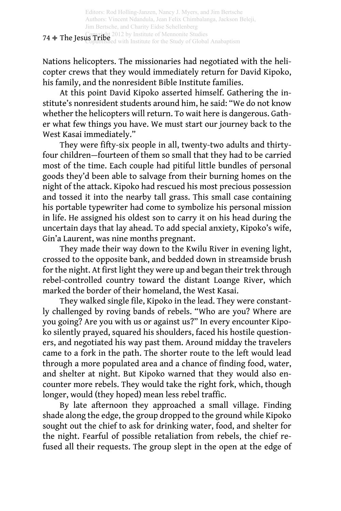Editors: Rod Holling-Janzen, Nancy J. Myers, and Jim Bertsche Authors: Vincent Ndandula, Jean Felix Chimbalanga, Jackson Beleji, Jim Bertsche, and Charity Eidse Schellenberg

**74 \* The Jesus Tribe**<br> **74 \* The Jesus Tribe** of with Institute for the Study of Global 4 Copublished with Institute for the Study of Global Anabaptism

Nations helicopters. The missionaries had negotiated with the helicopter crews that they would immediately return for David Kipoko, his family, and the nonresident Bible Institute families.

At this point David Kipoko asserted himself. Gathering the institute's nonresident students around him, he said: "We do not know whether the helicopters will return. To wait here is dangerous. Gather what few things you have. We must start our journey back to the West Kasai immediately."

They were fifty-six people in all, twenty-two adults and thirtyfour children—fourteen of them so small that they had to be carried most of the time. Each couple had pitiful little bundles of personal goods they'd been able to salvage from their burning homes on the night of the attack. Kipoko had rescued his most precious possession and tossed it into the nearby tall grass. This small case containing his portable typewriter had come to symbolize his personal mission in life. He assigned his oldest son to carry it on his head during the uncertain days that lay ahead. To add special anxiety, Kipoko's wife, Gin'a Laurent, was nine months pregnant.

They made their way down to the Kwilu River in evening light, crossed to the opposite bank, and bedded down in streamside brush for the night. At first light they were up and began their trek through rebel-controlled country toward the distant Loange River, which marked the border of their homeland, the West Kasai.

They walked single file, Kipoko in the lead. They were constantly challenged by roving bands of rebels. "Who are you? Where are you going? Are you with us or against us?" In every encounter Kipoko silently prayed, squared his shoulders, faced his hostile questioners, and negotiated his way past them. Around midday the travelers came to a fork in the path. The shorter route to the left would lead through a more populated area and a chance of finding food, water, and shelter at night. But Kipoko warned that they would also encounter more rebels. They would take the right fork, which, though longer, would (they hoped) mean less rebel traffic.

By late afternoon they approached a small village. Finding shade along the edge, the group dropped to the ground while Kipoko sought out the chief to ask for drinking water, food, and shelter for the night. Fearful of possible retaliation from rebels, the chief refused all their requests. The group slept in the open at the edge of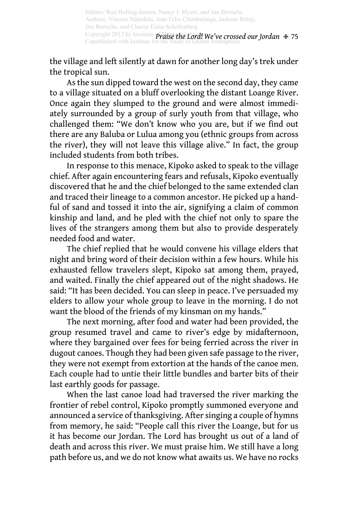Copyright 2012 by Institute **Praise the Lord! We've crossed our Jordan \* 75** Editors: Rod Holling-Janzen, Nancy J. Myers, and Jim Bertsche Authors: Vincent Ndandula, Jean Felix Chimbalanga, Jackson Beleji, Jim Bertsche, and Charity Eidse Schellenberg Copublished with Institute for the Study of Global Anabapti

the village and left silently at dawn for another long day's trek under the tropical sun.

As the sun dipped toward the west on the second day, they came to a village situated on a bluff overlooking the distant Loange River. Once again they slumped to the ground and were almost immediately surrounded by a group of surly youth from that village, who challenged them: "We don't know who you are, but if we find out there are any Baluba or Lulua among you (ethnic groups from across the river), they will not leave this village alive." In fact, the group included students from both tribes.

In response to this menace, Kipoko asked to speak to the village chief. After again encountering fears and refusals, Kipoko eventually discovered that he and the chief belonged to the same extended clan and traced their lineage to a common ancestor. He picked up a handful of sand and tossed it into the air, signifying a claim of common kinship and land, and he pled with the chief not only to spare the lives of the strangers among them but also to provide desperately needed food and water.

The chief replied that he would convene his village elders that night and bring word of their decision within a few hours. While his exhausted fellow travelers slept, Kipoko sat among them, prayed, and waited. Finally the chief appeared out of the night shadows. He said: "It has been decided. You can sleep in peace. I've persuaded my elders to allow your whole group to leave in the morning. I do not want the blood of the friends of my kinsman on my hands."

The next morning, after food and water had been provided, the group resumed travel and came to river's edge by midafternoon, where they bargained over fees for being ferried across the river in dugout canoes. Though they had been given safe passage to the river, they were not exempt from extortion at the hands of the canoe men. Each couple had to untie their little bundles and barter bits of their last earthly goods for passage.

When the last canoe load had traversed the river marking the frontier of rebel control, Kipoko promptly summoned everyone and announced a service of thanksgiving. After singing a couple of hymns from memory, he said: "People call this river the Loange, but for us it has become our Jordan. The Lord has brought us out of a land of death and across this river. We must praise him. We still have a long path before us, and we do not know what awaits us. We have no rocks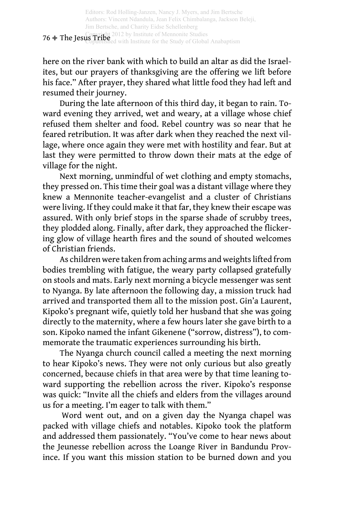Editors: Rod Holling-Janzen, Nancy J. Myers, and Jim Bertsche Authors: Vincent Ndandula, Jean Felix Chimbalanga, Jackson Beleji, Jim Bertsche, and Charity Eidse Schellenberg

## **76 \* The Jesus Tribe**<br>**76 \* The Jesus Tribe** of With Institute for the Study of Global 4 Copublished with Institute for the Study of Global Anabaptism

here on the river bank with which to build an altar as did the Israelites, but our prayers of thanksgiving are the offering we lift before his face." After prayer, they shared what little food they had left and resumed their journey.

During the late afternoon of this third day, it began to rain. Toward evening they arrived, wet and weary, at a village whose chief refused them shelter and food. Rebel country was so near that he feared retribution. It was after dark when they reached the next village, where once again they were met with hostility and fear. But at last they were permitted to throw down their mats at the edge of village for the night.

Next morning, unmindful of wet clothing and empty stomachs, they pressed on. This time their goal was a distant village where they knew a Mennonite teacher-evangelist and a cluster of Christians were living. If they could make it that far, they knew their escape was assured. With only brief stops in the sparse shade of scrubby trees, they plodded along. Finally, after dark, they approached the flickering glow of village hearth fires and the sound of shouted welcomes of Christian friends.

As children were taken from aching arms and weights lifted from bodies trembling with fatigue, the weary party collapsed gratefully on stools and mats. Early next morning a bicycle messenger was sent to Nyanga. By late afternoon the following day, a mission truck had arrived and transported them all to the mission post. Gin'a Laurent, Kipoko's pregnant wife, quietly told her husband that she was going directly to the maternity, where a few hours later she gave birth to a son. Kipoko named the infant Gikenene ("sorrow, distress"), to commemorate the traumatic experiences surrounding his birth.

The Nyanga church council called a meeting the next morning to hear Kipoko's news. They were not only curious but also greatly concerned, because chiefs in that area were by that time leaning toward supporting the rebellion across the river. Kipoko's response was quick: "Invite all the chiefs and elders from the villages around us for a meeting. I'm eager to talk with them."

 Word went out, and on a given day the Nyanga chapel was packed with village chiefs and notables. Kipoko took the platform and addressed them passionately. "You've come to hear news about the Jeunesse rebellion across the Loange River in Bandundu Province. If you want this mission station to be burned down and you